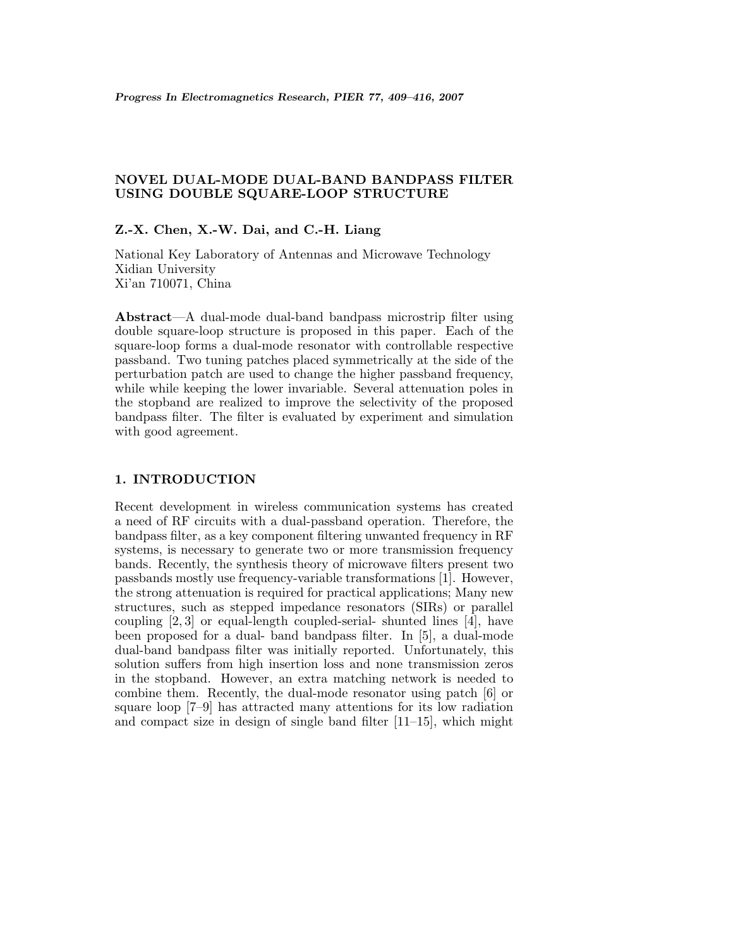# **NOVEL DUAL-MODE DUAL-BAND BANDPASS FILTER USING DOUBLE SQUARE-LOOP STRUCTURE**

## Z.-X. Chen, X.-W. Dai, and C.-H. Liang

National Key Laboratory of Antennas and Microwave Technology Xidian University Xi'an 710071, China

**Abstract**—A dual-mode dual-band bandpass microstrip filter using double square-loop structure is proposed in this paper. Each of the square-loop forms a dual-mode resonator with controllable respective passband. Two tuning patches placed symmetrically at the side of the perturbation patch are used to change the higher passband frequency, while while keeping the lower invariable. Several attenuation poles in the stopband are realized to improve the selectivity of the proposed bandpass filter. The filter is evaluated by experiment and simulation with good agreement.

#### **1. INTRODUCTION**

Recent development in wireless communication systems has created a need of RF circuits with a dual-passband operation. Therefore, the bandpass filter, as a key component filtering unwanted frequency in RF systems, is necessary to generate two or more transmission frequency bands. Recently, the synthesis theory of microwave filters present two passbands mostly use frequency-variable transformations [1]. However, the strong attenuation is required for practical applications; Many new structures, such as stepped impedance resonators (SIRs) or parallel coupling [2,3] or equal-length coupled-serial- shunted lines [4], have been proposed for a dual- band bandpass filter. In [5], a dual-mode dual-band bandpass filter was initially reported. Unfortunately, this solution suffers from high insertion loss and none transmission zeros in the stopband. However, an extra matching network is needed to combine them. Recently, the dual-mode resonator using patch [6] or square loop [7–9] has attracted many attentions for its low radiation and compact size in design of single band filter  $[11–15]$ , which might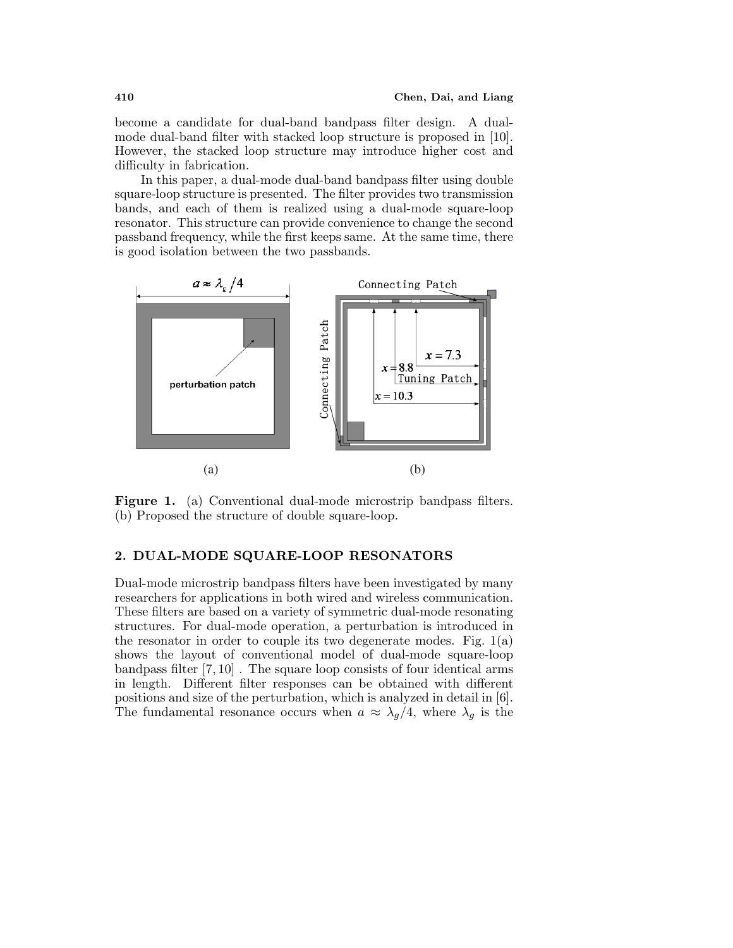become a candidate for dual-band bandpass filter design. A dualmode dual-band filter with stacked loop structure is proposed in [10]. However, the stacked loop structure may introduce higher cost and difficulty in fabrication.

In this paper, a dual-mode dual-band bandpass filter using double square-loop structure is presented. The filter provides two transmission bands,and each of them is realized using a dual-mode square-loop resonator. This structure can provide convenience to change the second passband frequency, while the first keeps same. At the same time, there is good isolation between the two passbands.



Figure 1. (a) Conventional dual-mode microstrip bandpass filters. (b) Proposed the structure of double square-loop.

## **2. DUAL-MODE SQUARE-LOOP RESONATORS**

Dual-mode microstrip bandpass filters have been investigated by many researchers for applications in both wired and wireless communication. These filters are based on a variety of symmetric dual-mode resonating structures. For dual-mode operation, a perturbation is introduced in the resonator in order to couple its two degenerate modes. Fig.  $1(a)$ shows the layout of conventional model of dual-mode square-loop bandpass filter [7,10] . The square loop consists of four identical arms in length. Different filter responses can be obtained with different positions and size of the perturbation, which is analyzed in detail in [6]. The fundamental resonance occurs when  $a \approx \lambda_g/4$ , where  $\lambda_g$  is the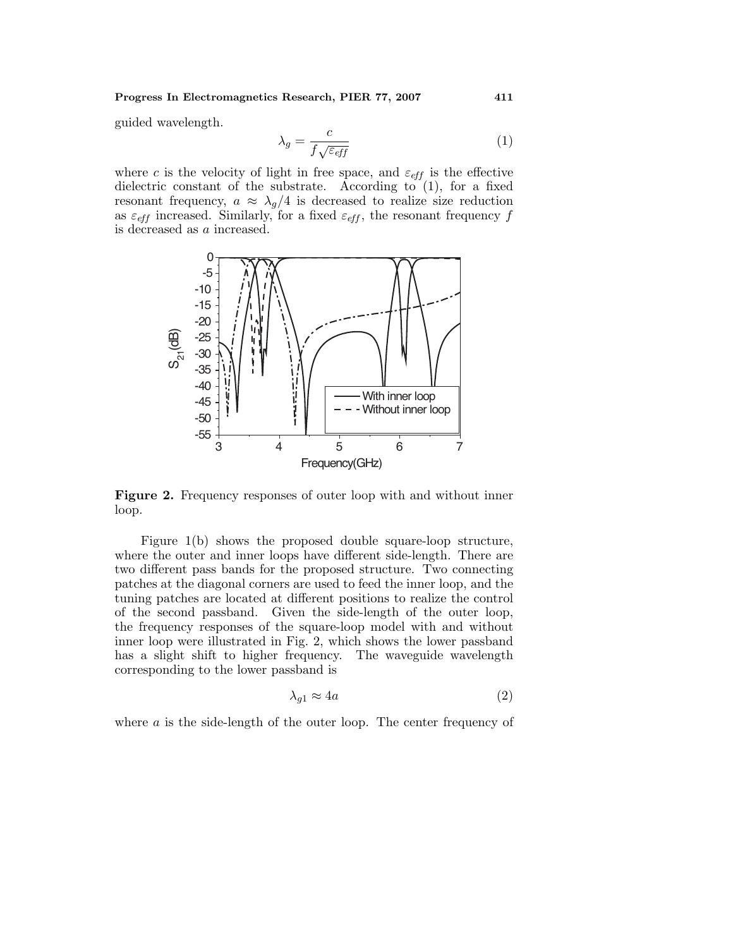#### **Progress In Electromagnetics Research, PIER 77, 2007 411**

guided wavelength.

$$
\lambda_g = \frac{c}{f\sqrt{\varepsilon_{eff}}}
$$
\n(1)

where c is the velocity of light in free space, and  $\varepsilon_{\text{eff}}$  is the effective dielectric constant of the substrate. According to  $(1)$ , for a fixed resonant frequency,  $a \approx \lambda_g/4$  is decreased to realize size reduction as  $\varepsilon_{eff}$  increased. Similarly, for a fixed  $\varepsilon_{eff}$ , the resonant frequency f is decreased as a increased.



**Figure 2.** Frequency responses of outer loop with and without inner loop.

Figure 1(b) shows the proposed double square-loop structure, where the outer and inner loops have different side-length. There are two different pass bands for the proposed structure. Two connecting patches at the diagonal corners are used to feed the inner loop,and the tuning patches are located at different positions to realize the control of the second passband. Given the side-length of the outer loop, the frequency responses of the square-loop model with and without inner loop were illustrated in Fig. 2, which shows the lower passband has a slight shift to higher frequency. The waveguide wavelength corresponding to the lower passband is

$$
\lambda_{g1} \approx 4a \tag{2}
$$

where  $\alpha$  is the side-length of the outer loop. The center frequency of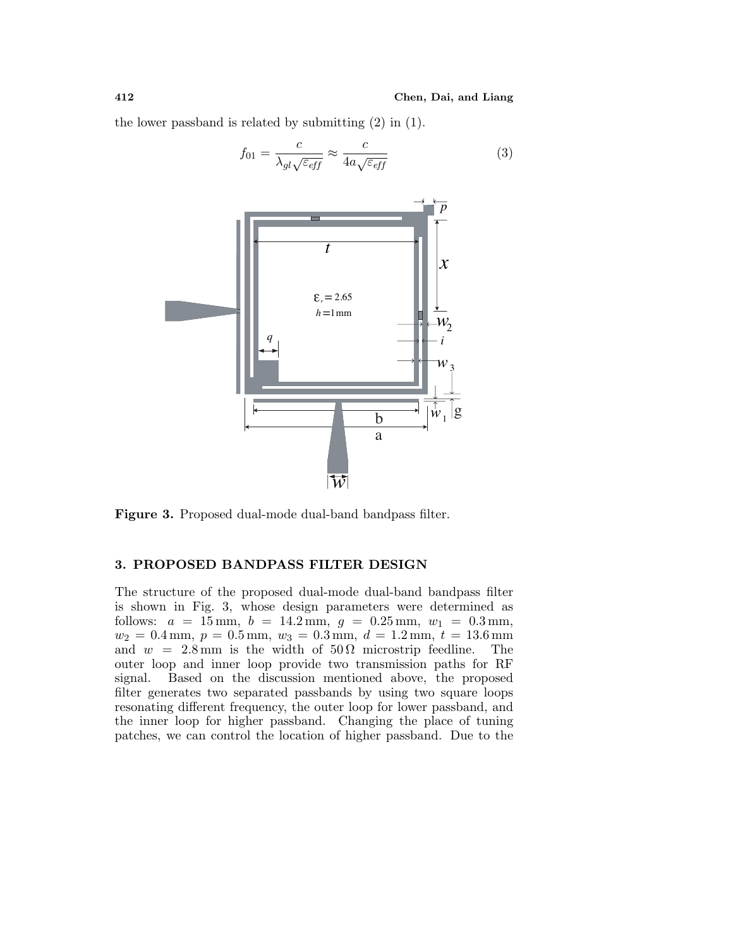the lower passband is related by submitting (2) in (1).

$$
f_{01} = \frac{c}{\lambda_{gl}\sqrt{\varepsilon_{eff}}} \approx \frac{c}{4a\sqrt{\varepsilon_{eff}}}
$$
(3)



**Figure 3.** Proposed dual-mode dual-band bandpass filter.

#### **3. PROPOSED BANDPASS FILTER DESIGN**

The structure of the proposed dual-mode dual-band bandpass filter is shown in Fig. 3, whose design parameters were determined as follows:  $a = 15$  mm,  $b = 14.2$  mm,  $q = 0.25$  mm,  $w_1 = 0.3$  mm,  $w_2 = 0.4$  mm,  $p = 0.5$  mm,  $w_3 = 0.3$  mm,  $d = 1.2$  mm,  $t = 13.6$  mm and  $w = 2.8$  mm is the width of  $50 \Omega$  microstrip feedline. The outer loop and inner loop provide two transmission paths for RF signal. Based on the discussion mentioned above, the proposed filter generates two separated passbands by using two square loops resonating different frequency, the outer loop for lower passband, and the inner loop for higher passband. Changing the place of tuning patches, we can control the location of higher passband. Due to the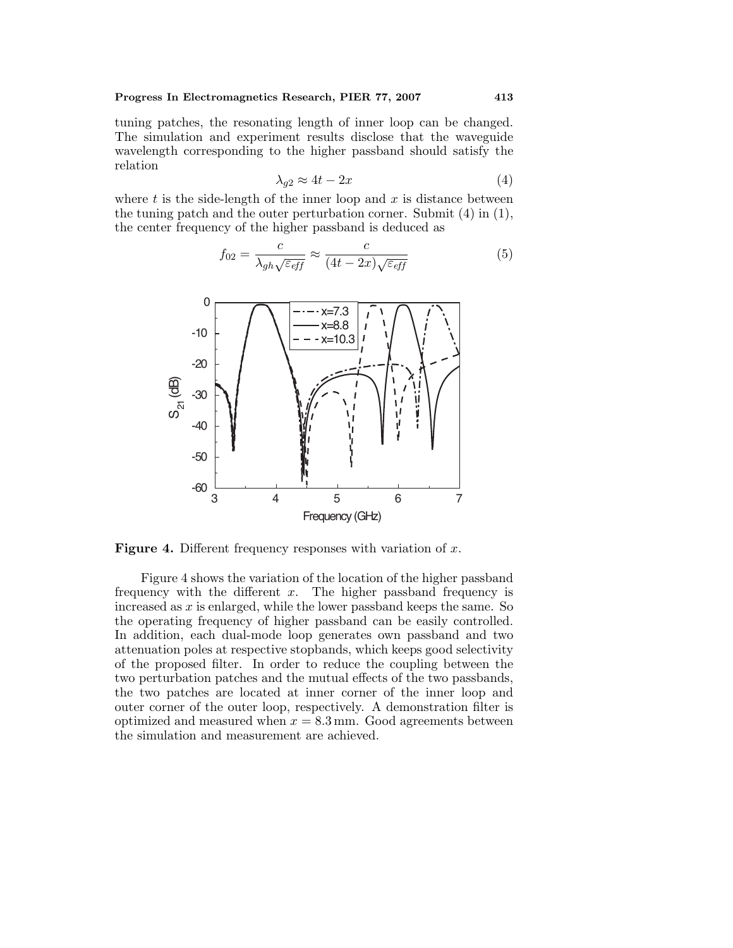tuning patches, the resonating length of inner loop can be changed. The simulation and experiment results disclose that the waveguide wavelength corresponding to the higher passband should satisfy the relation

$$
\lambda_{g2} \approx 4t - 2x \tag{4}
$$

where  $t$  is the side-length of the inner loop and  $x$  is distance between the tuning patch and the outer perturbation corner. Submit (4) in (1), the center frequency of the higher passband is deduced as

$$
f_{02} = \frac{c}{\lambda_{gh}\sqrt{\varepsilon_{eff}}} \approx \frac{c}{(4t - 2x)\sqrt{\varepsilon_{eff}}}
$$
(5)



**Figure 4.** Different frequency responses with variation of x.

Figure 4 shows the variation of the location of the higher passband frequency with the different  $x$ . The higher passband frequency is increased as  $x$  is enlarged, while the lower passband keeps the same. So the operating frequency of higher passband can be easily controlled. In addition, each dual-mode loop generates own passband and two attenuation poles at respective stopbands,which keeps good selectivity of the proposed filter. In order to reduce the coupling between the two perturbation patches and the mutual effects of the two passbands, the two patches are located at inner corner of the inner loop and outer corner of the outer loop, respectively. A demonstration filter is optimized and measured when  $x = 8.3$  mm. Good agreements between the simulation and measurement are achieved.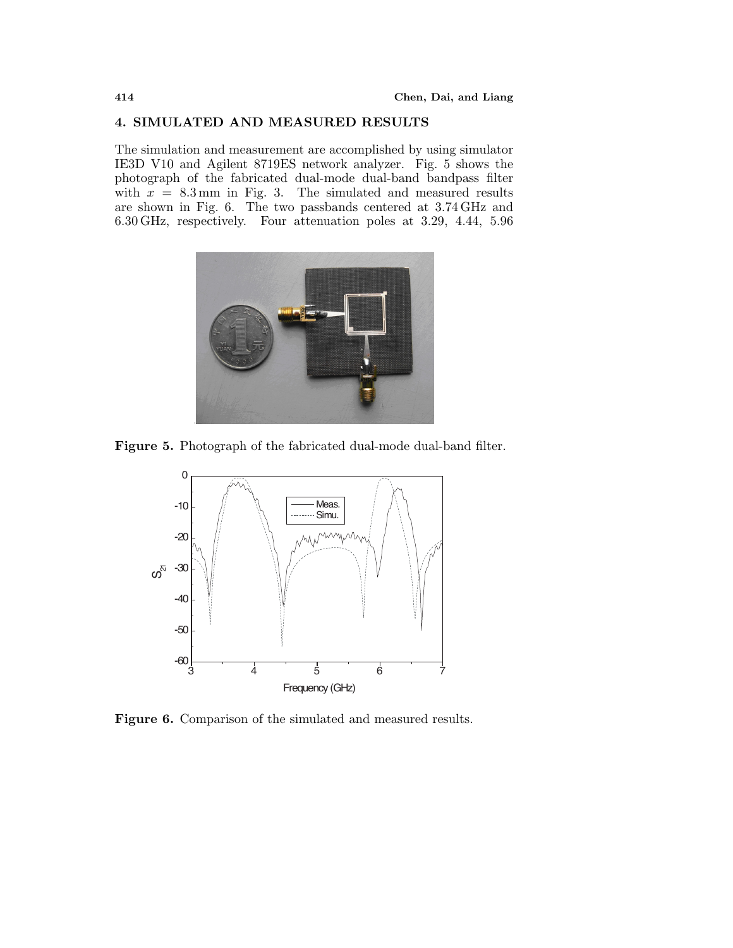## **4. SIMULATED AND MEASURED RESULTS**

The simulation and measurement are accomplished by using simulator IE3D V10 and Agilent 8719ES network analyzer. Fig. 5 shows the photograph of the fabricated dual-mode dual-band bandpass filter with  $x = 8.3$  mm in Fig. 3. The simulated and measured results are shown in Fig. 6. The two passbands centered at 3.74 GHz and 6.30 GHz, respectively. Four attenuation poles at 3.29, 4.44, 5.96



**Figure 5.** Photograph of the fabricated dual-mode dual-band filter.



**Figure 6.** Comparison of the simulated and measured results.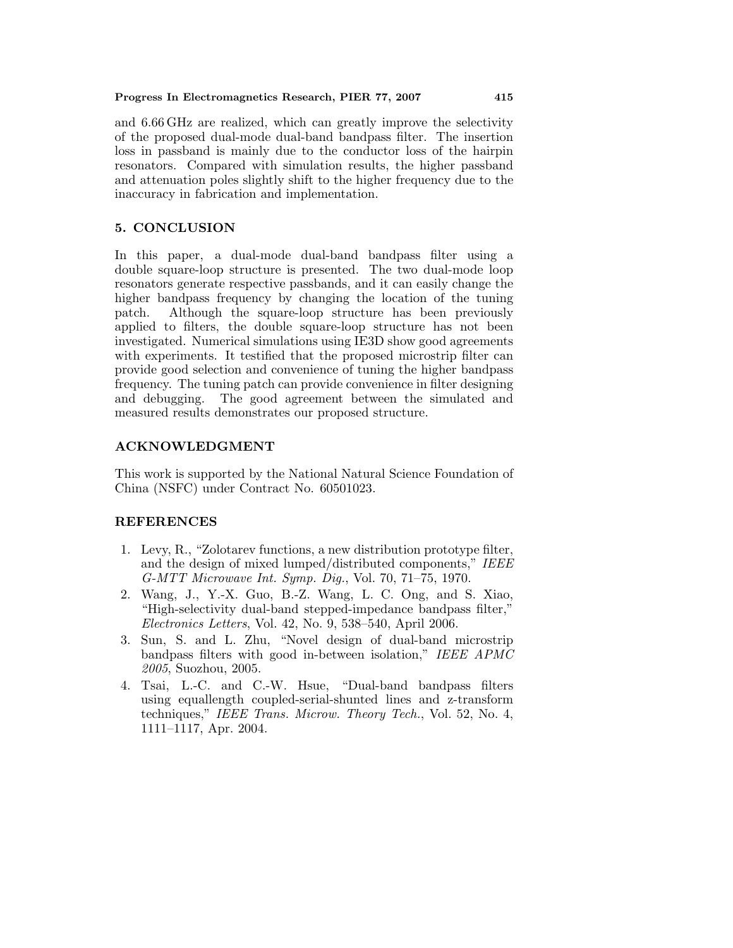and 6.66 GHz are realized, which can greatly improve the selectivity of the proposed dual-mode dual-band bandpass filter. The insertion loss in passband is mainly due to the conductor loss of the hairpin resonators. Compared with simulation results, the higher passband and attenuation poles slightly shift to the higher frequency due to the inaccuracy in fabrication and implementation.

## **5. CONCLUSION**

In this paper, a dual-mode dual-band bandpass filter using a double square-loop structure is presented. The two dual-mode loop resonators generate respective passbands, and it can easily change the higher bandpass frequency by changing the location of the tuning patch. Although the square-loop structure has been previously applied to filters, the double square-loop structure has not been investigated. Numerical simulations using IE3D show good agreements with experiments. It testified that the proposed microstrip filter can provide good selection and convenience of tuning the higher bandpass frequency. The tuning patch can provide convenience in filter designing and debugging. The good agreement between the simulated and measured results demonstrates our proposed structure.

## **ACKNOWLEDGMENT**

This work is supported by the National Natural Science Foundation of China (NSFC) under Contract No. 60501023.

## **REFERENCES**

- 1. Levy,R.,"Zolotarev functions,a new distribution prototype filter, and the design of mixed lumped/distributed components," IEEE G-MTT Microwave Int. Symp. Dig.,Vol. 70,71–75,1970.
- 2. Wang,J.,Y.-X. Guo,B.-Z. Wang,L. C. Ong,and S. Xiao, "High-selectivity dual-band stepped-impedance bandpass filter,"  $Electrons$  Letters, Vol. 42, No. 9, 538–540, April 2006.
- 3. Sun, S. and L. Zhu, "Novel design of dual-band microstrip bandpass filters with good in-between isolation," IEEE APMC 2005, Suozhou, 2005.
- 4. Tsai,L.-C. and C.-W. Hsue,"Dual-band bandpass filters using equallength coupled-serial-shunted lines and z-transform techniques," IEEE Trans. Microw. Theory Tech., Vol. 52, No. 4, 1111–1117,Apr. 2004.